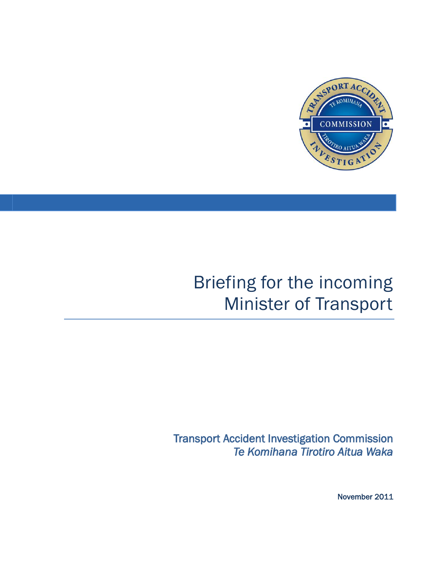

# Briefing for the incoming Minister of Transport

Transport Accident Investigation Commission *Te Komihana Tirotiro Aitua Waka* 

November 2011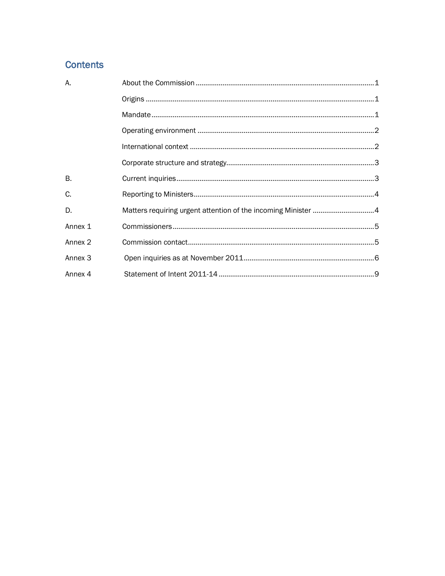## **Contents**

| Matters requiring urgent attention of the incoming Minister 4 |
|---------------------------------------------------------------|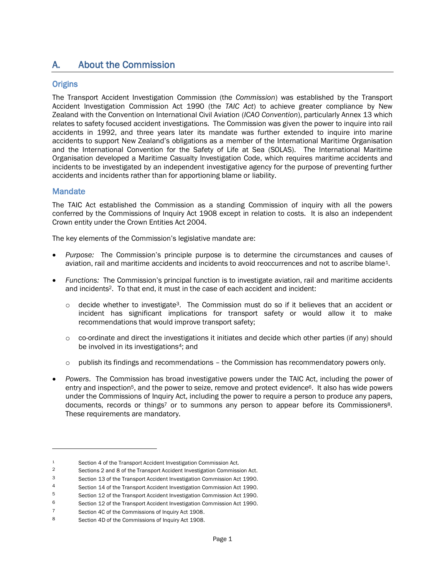## <span id="page-3-0"></span>A. About the Commission

#### <span id="page-3-1"></span>**Origins**

The Transport Accident Investigation Commission (the *Commission*) was established by the Transport Accident Investigation Commission Act 1990 (the *TAIC Act*) to achieve greater compliance by New Zealand with the Convention on International Civil Aviation (*ICAO Convention*), particularly Annex 13 which relates to safety focused accident investigations. The Commission was given the power to inquire into rail accidents in 1992, and three years later its mandate was further extended to inquire into marine accidents to support New Zealand's obligations as a member of the International Maritime Organisation and the International Convention for the Safety of Life at Sea (SOLAS). The International Maritime Organisation developed a Maritime Casualty Investigation Code, which requires maritime accidents and incidents to be investigated by an independent investigative agency for the purpose of preventing further accidents and incidents rather than for apportioning blame or liability.

#### <span id="page-3-2"></span>**Mandate**

 $\overline{a}$ 

The TAIC Act established the Commission as a standing Commission of inquiry with all the powers conferred by the Commissions of Inquiry Act 1908 except in relation to costs. It is also an independent Crown entity under the Crown Entities Act 2004.

The key elements of the Commission's legislative mandate are:

- *Purpose:* The Commission's principle purpose is to determine the circumstances and causes of aviation, rail and maritime accidents and incidents to avoid reoccurrences and not to ascribe blame1.
- *Functions:* The Commission's principal function is to investigate aviation, rail and maritime accidents and incidents<sup>2</sup>. To that end, it must in the case of each accident and incident:
	- $\circ$  decide whether to investigate<sup>3</sup>. The Commission must do so if it believes that an accident or incident has significant implications for transport safety or would allow it to make recommendations that would improve transport safety;
	- $\circ$  co-ordinate and direct the investigations it initiates and decide which other parties (if any) should be involved in its investigations<sup>4</sup>; and
	- $\circ$  publish its findings and recommendations the Commission has recommendatory powers only.
- *Powers*. The Commission has broad investigative powers under the TAIC Act, including the power of entry and inspection<sup>5</sup>, and the power to seize, remove and protect evidence<sup>6</sup>. It also has wide powers under the Commissions of Inquiry Act, including the power to require a person to produce any papers, documents, records or things<sup>7</sup> or to summons any person to appear before its Commissioners<sup>8</sup>. These requirements are mandatory.

<sup>1</sup> Section 4 of the Transport Accident Investigation Commission Act.

<sup>2</sup> Sections 2 and 8 of the Transport Accident Investigation Commission Act.

<sup>3</sup> Section 13 of the Transport Accident Investigation Commission Act 1990.

<sup>4</sup> Section 14 of the Transport Accident Investigation Commission Act 1990.

<sup>5</sup> Section 12 of the Transport Accident Investigation Commission Act 1990.

<sup>6</sup> Section 12 of the Transport Accident Investigation Commission Act 1990.

<sup>7</sup> Section 4C of the Commissions of Inquiry Act 1908.

<sup>8</sup> Section 4D of the Commissions of Inquiry Act 1908.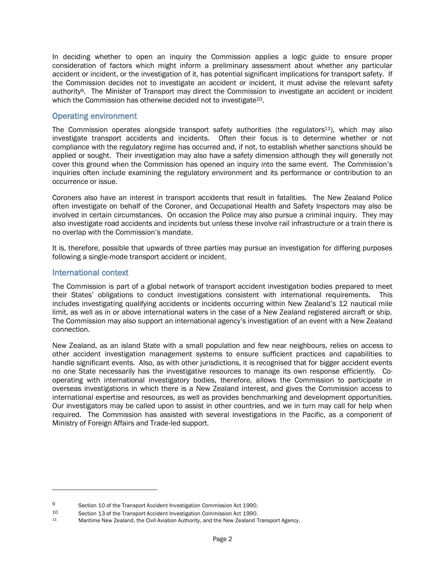In deciding whether to open an inquiry the Commission applies a logic guide to ensure proper consideration of factors which might inform a preliminary assessment about whether any particular accident or incident, or the investigation of it, has potential significant implications for transport safety. If the Commission decides not to investigate an accident or incident, it must advise the relevant safety authority9. The Minister of Transport may direct the Commission to investigate an accident or incident which the Commission has otherwise decided not to investigate<sup>10</sup>.

#### <span id="page-4-0"></span>Operating environment

The Commission operates alongside transport safety authorities (the regulators<sup>11</sup>), which may also investigate transport accidents and incidents. Often their focus is to determine whether or not compliance with the regulatory regime has occurred and, if not, to establish whether sanctions should be applied or sought. Their investigation may also have a safety dimension although they will generally not cover this ground when the Commission has opened an inquiry into the same event. The Commission's inquiries often include examining the regulatory environment and its performance or contribution to an occurrence or issue.

Coroners also have an interest in transport accidents that result in fatalities. The New Zealand Police often investigate on behalf of the Coroner, and Occupational Health and Safety Inspectors may also be involved in certain circumstances. On occasion the Police may also pursue a criminal inquiry. They may also investigate road accidents and incidents but unless these involve rail infrastructure or a train there is no overlap with the Commission's mandate.

It is, therefore, possible that upwards of three parties may pursue an investigation for differing purposes following a single-mode transport accident or incident.

#### <span id="page-4-1"></span>International context

 $\overline{a}$ 

The Commission is part of a global network of transport accident investigation bodies prepared to meet their States' obligations to conduct investigations consistent with international requirements. This includes investigating qualifying accidents or incidents occurring within New Zealand's 12 nautical mile limit, as well as in or above international waters in the case of a New Zealand registered aircraft or ship. The Commission may also support an international agency's investigation of an event with a New Zealand connection.

New Zealand, as an island State with a small population and few near neighbours, relies on access to other accident investigation management systems to ensure sufficient practices and capabilities to handle significant events. Also, as with other jurisdictions, it is recognised that for bigger accident events no one State necessarily has the investigative resources to manage its own response efficiently. Cooperating with international investigatory bodies, therefore, allows the Commission to participate in overseas investigations in which there is a New Zealand interest, and gives the Commission access to international expertise and resources, as well as provides benchmarking and development opportunities. Our investigators may be called upon to assist in other countries, and we in turn may call for help when required. The Commission has assisted with several investigations in the Pacific, as a component of Ministry of Foreign Affairs and Trade-led support.

<sup>9</sup> Section 10 of the Transport Accident Investigation Commission Act 1990.

<sup>10</sup> Section 13 of the Transport Accident Investigation Commission Act 1990.<br>11 Maritime New Zealand, the Civil Aviation Authority and the New Zealand T

Maritime New Zealand, the Civil Aviation Authority, and the New Zealand Transport Agency.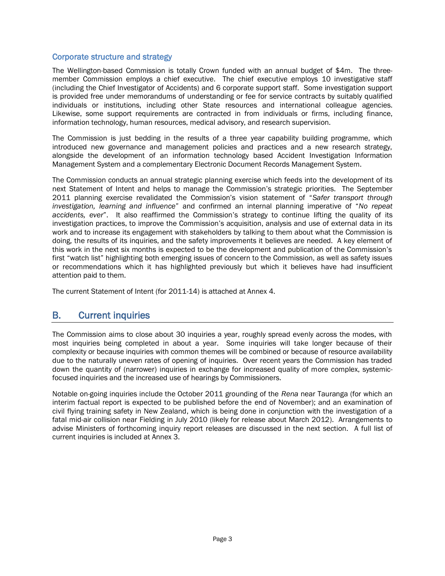#### <span id="page-5-0"></span>Corporate structure and strategy

The Wellington-based Commission is totally Crown funded with an annual budget of \$4m. The threemember Commission employs a chief executive. The chief executive employs 10 investigative staff (including the Chief Investigator of Accidents) and 6 corporate support staff. Some investigation support is provided free under memorandums of understanding or fee for service contracts by suitably qualified individuals or institutions, including other State resources and international colleague agencies. Likewise, some support requirements are contracted in from individuals or firms, including finance, information technology, human resources, medical advisory, and research supervision.

The Commission is just bedding in the results of a three year capability building programme, which introduced new governance and management policies and practices and a new research strategy, alongside the development of an information technology based Accident Investigation Information Management System and a complementary Electronic Document Records Management System.

The Commission conducts an annual strategic planning exercise which feeds into the development of its next Statement of Intent and helps to manage the Commission's strategic priorities. The September 2011 planning exercise revalidated the Commission's vision statement of "*Safer transport through investigation, learning and influence*" and confirmed an internal planning imperative of "*No repeat accidents, ever*". It also reaffirmed the Commission's strategy to continue lifting the quality of its investigation practices, to improve the Commission's acquisition, analysis and use of external data in its work and to increase its engagement with stakeholders by talking to them about what the Commission is doing, the results of its inquiries, and the safety improvements it believes are needed. A key element of this work in the next six months is expected to be the development and publication of the Commission's first "watch list" highlighting both emerging issues of concern to the Commission, as well as safety issues or recommendations which it has highlighted previously but which it believes have had insufficient attention paid to them.

The current Statement of Intent (for 2011-14) is attached at Annex 4.

### <span id="page-5-1"></span>B. Current inquiries

The Commission aims to close about 30 inquiries a year, roughly spread evenly across the modes, with most inquiries being completed in about a year. Some inquiries will take longer because of their complexity or because inquiries with common themes will be combined or because of resource availability due to the naturally uneven rates of opening of inquiries. Over recent years the Commission has traded down the quantity of (narrower) inquiries in exchange for increased quality of more complex, systemicfocused inquiries and the increased use of hearings by Commissioners.

Notable on-going inquiries include the October 2011 grounding of the *Rena* near Tauranga (for which an interim factual report is expected to be published before the end of November); and an examination of civil flying training safety in New Zealand, which is being done in conjunction with the investigation of a fatal mid-air collision near Fielding in July 2010 (likely for release about March 2012). Arrangements to advise Ministers of forthcoming inquiry report releases are discussed in the next section. A full list of current inquiries is included at Annex 3.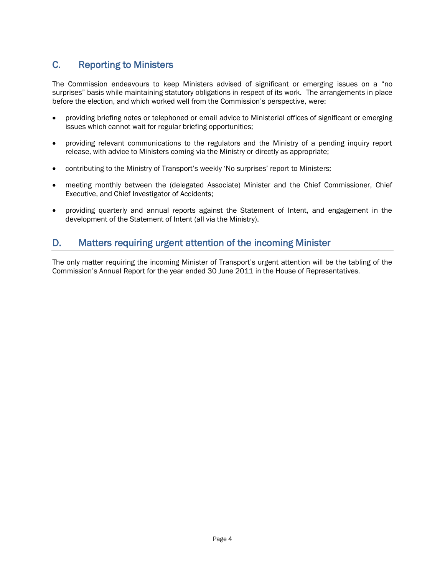## <span id="page-6-0"></span>C. Reporting to Ministers

The Commission endeavours to keep Ministers advised of significant or emerging issues on a "no surprises" basis while maintaining statutory obligations in respect of its work. The arrangements in place before the election, and which worked well from the Commission's perspective, were:

- providing briefing notes or telephoned or email advice to Ministerial offices of significant or emerging issues which cannot wait for regular briefing opportunities;
- providing relevant communications to the regulators and the Ministry of a pending inquiry report release, with advice to Ministers coming via the Ministry or directly as appropriate;
- contributing to the Ministry of Transport's weekly 'No surprises' report to Ministers;
- meeting monthly between the (delegated Associate) Minister and the Chief Commissioner, Chief Executive, and Chief Investigator of Accidents;
- providing quarterly and annual reports against the Statement of Intent, and engagement in the development of the Statement of Intent (all via the Ministry).

## <span id="page-6-1"></span>D. Matters requiring urgent attention of the incoming Minister

The only matter requiring the incoming Minister of Transport's urgent attention will be the tabling of the Commission's Annual Report for the year ended 30 June 2011 in the House of Representatives.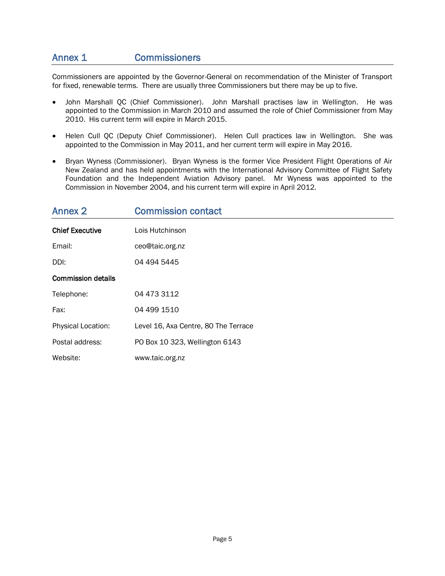## <span id="page-7-0"></span>Annex 1 Commissioners

Commissioners are appointed by the Governor-General on recommendation of the Minister of Transport for fixed, renewable terms. There are usually three Commissioners but there may be up to five.

- John Marshall QC (Chief Commissioner). John Marshall practises law in Wellington. He was appointed to the Commission in March 2010 and assumed the role of Chief Commissioner from May 2010. His current term will expire in March 2015.
- Helen Cull QC (Deputy Chief Commissioner). Helen Cull practices law in Wellington. She was appointed to the Commission in May 2011, and her current term will expire in May 2016.
- Bryan Wyness (Commissioner). Bryan Wyness is the former Vice President Flight Operations of Air New Zealand and has held appointments with the International Advisory Committee of Flight Safety Foundation and the Independent Aviation Advisory panel. Mr Wyness was appointed to the Commission in November 2004, and his current term will expire in April 2012.

<span id="page-7-1"></span>

| <b>Annex 2</b>            | <b>Commission contact</b>            |
|---------------------------|--------------------------------------|
| <b>Chief Executive</b>    | Lois Hutchinson                      |
| Email:                    | ceo@taic.org.nz                      |
| DDI:                      | 04 494 5445                          |
| <b>Commission details</b> |                                      |
| Telephone:                | 04 473 3112                          |
| Fax:                      | 04 499 1510                          |
| Physical Location:        | Level 16, Axa Centre, 80 The Terrace |
| Postal address:           | PO Box 10 323, Wellington 6143       |
| Website:                  | www.taic.org.nz                      |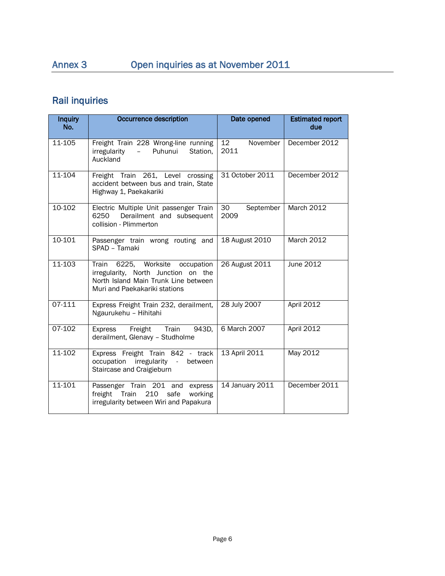## <span id="page-8-0"></span>Annex 3 Open inquiries as at November 2011

## Rail inquiries

| <b>Inquiry</b><br>No. | <b>Occurrence description</b>                                                                                                                      | Date opened                         | <b>Estimated report</b><br>due |
|-----------------------|----------------------------------------------------------------------------------------------------------------------------------------------------|-------------------------------------|--------------------------------|
| 11-105                | Freight Train 228 Wrong-line running<br>Puhunui<br>Station.<br>irregularity<br>$\sim$<br>Auckland                                                  | 12 <sup>°</sup><br>November<br>2011 | December 2012                  |
| 11-104                | Freight Train 261, Level crossing<br>accident between bus and train, State<br>Highway 1, Paekakariki                                               | 31 October 2011                     | December 2012                  |
| 10-102                | Electric Multiple Unit passenger Train<br>Derailment and subsequent<br>6250<br>collision - Plimmerton                                              | 30<br>September<br>2009             | March 2012                     |
| 10-101                | Passenger train wrong routing and<br>SPAD - Tamaki                                                                                                 | 18 August 2010                      | <b>March 2012</b>              |
| 11-103                | Train 6225, Worksite<br>occupation<br>irregularity, North Junction on the<br>North Island Main Trunk Line between<br>Muri and Paekakariki stations | 26 August 2011                      | June 2012                      |
| $07-111$              | Express Freight Train 232, derailment,<br>Ngaurukehu - Hihitahi                                                                                    | 28 July 2007<br>April 2012          |                                |
| $07-102$              | Freight<br>Train<br>Express<br>943D,<br>derailment, Glenavy - Studholme                                                                            | 6 March 2007                        | April 2012                     |
| 11-102                | Express Freight Train 842 - track<br>occupation irregularity -<br>between<br>Staircase and Craigieburn                                             | 13 April 2011                       | May 2012                       |
| 11-101                | Passenger Train 201 and express<br>210<br>freight Train<br>safe<br>working<br>irregularity between Wiri and Papakura                               | 14 January 2011                     | December 2011                  |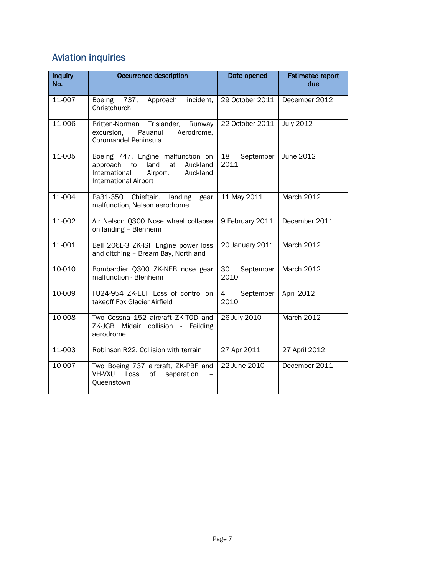## Aviation inquiries

| <b>Inquiry</b><br>No. | <b>Occurrence description</b>                                                                                                                          | Date opened             | <b>Estimated report</b><br>due |
|-----------------------|--------------------------------------------------------------------------------------------------------------------------------------------------------|-------------------------|--------------------------------|
| $11-007$              | incident,<br>Boeing<br>737,<br>Approach<br>Christchurch                                                                                                | 29 October 2011         | December 2012                  |
| 11-006                | Britten-Norman Trislander,<br>Runway<br>Pauanui<br>Aerodrome,<br>excursion.<br>Coromandel Peninsula                                                    | 22 October 2011         | <b>July 2012</b>               |
| $11 - 005$            | Boeing 747, Engine malfunction on<br>land<br>at<br>Auckland<br>approach<br>to<br>International<br>Airport,<br>Auckland<br><b>International Airport</b> | 18<br>September<br>2011 | June 2012                      |
| 11-004                | Pa31-350<br>Chieftain, landing<br>gear<br>malfunction, Nelson aerodrome                                                                                | 11 May 2011             | March 2012                     |
| 11-002                | Air Nelson Q300 Nose wheel collapse<br>on landing - Blenheim                                                                                           | 9 February 2011         | December 2011                  |
| 11-001                | Bell 206L-3 ZK-ISF Engine power loss<br>and ditching - Bream Bay, Northland                                                                            | 20 January 2011         | March 2012                     |
| 10-010                | Bombardier Q300 ZK-NEB nose gear<br>malfunction - Blenheim                                                                                             | 30<br>September<br>2010 | March 2012                     |
| 10-009                | FU24-954 ZK-EUF Loss of control on<br>takeoff Fox Glacier Airfield                                                                                     | 4<br>September<br>2010  | April 2012                     |
| 10-008                | Two Cessna 152 aircraft ZK-TOD and<br>ZK-JGB Midair collision - Feilding<br>aerodrome                                                                  | 26 July 2010            | March 2012                     |
| 11-003                | Robinson R22, Collision with terrain                                                                                                                   | 27 Apr 2011             | 27 April 2012                  |
| 10-007                | Two Boeing 737 aircraft, ZK-PBF and<br>VH-VXU<br>Loss<br>οf<br>separation<br>Queenstown                                                                | 22 June 2010            | December 2011                  |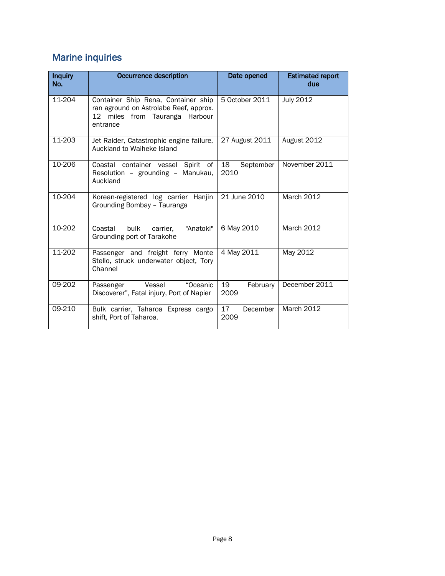## Marine inquiries

| <b>Inquiry</b><br>No. | <b>Occurrence description</b>                                                                                               | Date opened             | <b>Estimated report</b><br>due |
|-----------------------|-----------------------------------------------------------------------------------------------------------------------------|-------------------------|--------------------------------|
| 11-204                | Container Ship Rena, Container ship<br>ran aground on Astrolabe Reef, approx.<br>12 miles from Tauranga Harbour<br>entrance | 5 October 2011          | <b>July 2012</b>               |
| 11-203                | Jet Raider, Catastrophic engine failure,<br>Auckland to Waiheke Island                                                      | 27 August 2011          | August 2012                    |
| 10-206                | Coastal container vessel Spirit of<br>Resolution - grounding - Manukau,<br>Auckland                                         | 18<br>September<br>2010 | November 2011                  |
| 10-204                | Korean-registered log carrier Hanjin<br>Grounding Bombay - Tauranga                                                         | 21 June 2010            | <b>March 2012</b>              |
| 10-202                | bulk<br>"Anatoki"<br>Coastal<br>carrier.<br>Grounding port of Tarakohe                                                      | 6 May 2010              | <b>March 2012</b>              |
| 11-202                | Passenger and freight ferry Monte<br>Stello, struck underwater object, Tory<br>Channel                                      | 4 May 2011              | May 2012                       |
| 09-202                | Vessel<br>"Oceanic<br>Passenger<br>Discoverer", Fatal injury, Port of Napier                                                | 19<br>February<br>2009  | December 2011                  |
| 09-210                | Bulk carrier, Taharoa Express cargo<br>shift, Port of Taharoa.                                                              | 17<br>December<br>2009  | <b>March 2012</b>              |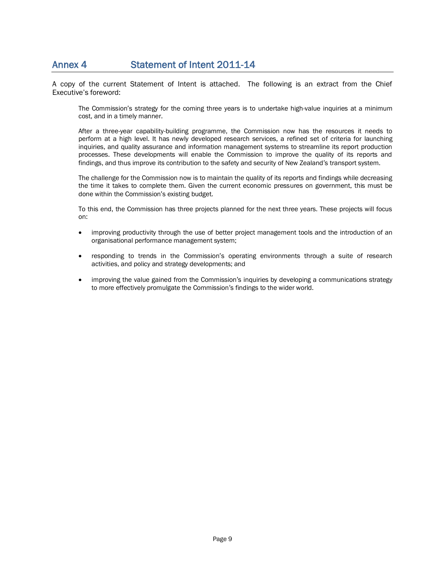## <span id="page-11-0"></span>Annex 4 Statement of Intent 2011-14

A copy of the current Statement of Intent is attached. The following is an extract from the Chief Executive's foreword:

The Commission's strategy for the coming three years is to undertake high-value inquiries at a minimum cost, and in a timely manner.

After a three-year capability-building programme, the Commission now has the resources it needs to perform at a high level. It has newly developed research services, a refined set of criteria for launching inquiries, and quality assurance and information management systems to streamline its report production processes. These developments will enable the Commission to improve the quality of its reports and findings, and thus improve its contribution to the safety and security of New Zealand's transport system.

The challenge for the Commission now is to maintain the quality of its reports and findings while decreasing the time it takes to complete them. Given the current economic pressures on government, this must be done within the Commission's existing budget.

To this end, the Commission has three projects planned for the next three years. These projects will focus on:

- improving productivity through the use of better project management tools and the introduction of an organisational performance management system;
- responding to trends in the Commission's operating environments through a suite of research activities, and policy and strategy developments; and
- improving the value gained from the Commission's inquiries by developing a communications strategy to more effectively promulgate the Commission's findings to the wider world.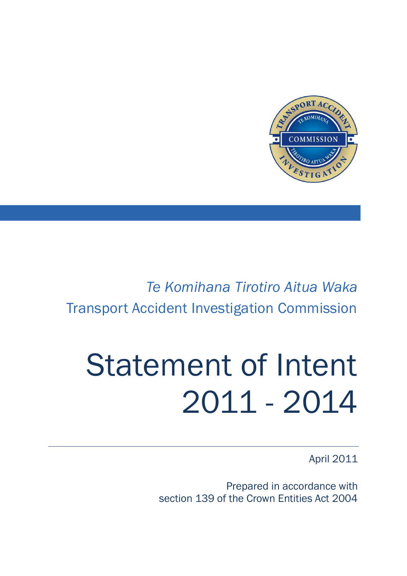

## *Te Komihana Tirotiro Aitua Waka* Transport Accident Investigation Commission

# Statement of Intent 2011 - 2014

April 2011

Prepared in accordance with section 139 of the Crown Entities Act 2004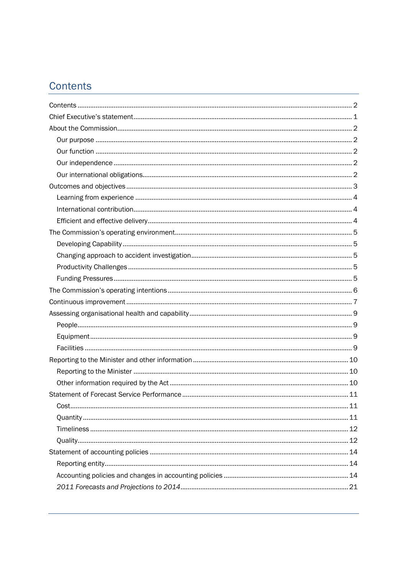## <span id="page-13-0"></span>**Contents**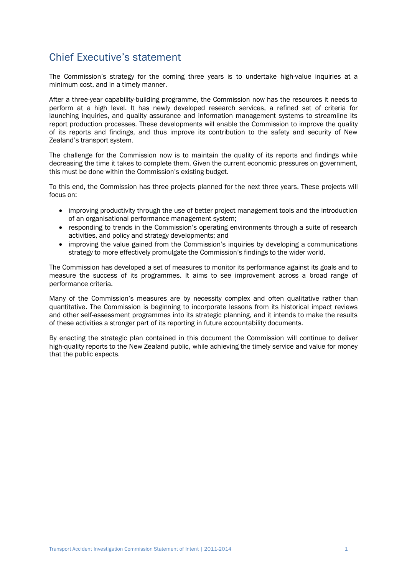## <span id="page-14-0"></span>Chief Executive's statement

The Commission's strategy for the coming three years is to undertake high-value inquiries at a minimum cost, and in a timely manner.

After a three-year capability-building programme, the Commission now has the resources it needs to perform at a high level. It has newly developed research services, a refined set of criteria for launching inquiries, and quality assurance and information management systems to streamline its report production processes. These developments will enable the Commission to improve the quality of its reports and findings, and thus improve its contribution to the safety and security of New Zealand's transport system.

The challenge for the Commission now is to maintain the quality of its reports and findings while decreasing the time it takes to complete them. Given the current economic pressures on government, this must be done within the Commission's existing budget.

To this end, the Commission has three projects planned for the next three years. These projects will focus on:

- improving productivity through the use of better project management tools and the introduction of an organisational performance management system;
- responding to trends in the Commission's operating environments through a suite of research activities, and policy and strategy developments; and
- improving the value gained from the Commission's inquiries by developing a communications strategy to more effectively promulgate the Commission's findings to the wider world.

The Commission has developed a set of measures to monitor its performance against its goals and to measure the success of its programmes. It aims to see improvement across a broad range of performance criteria.

Many of the Commission's measures are by necessity complex and often qualitative rather than quantitative. The Commission is beginning to incorporate lessons from its historical impact reviews and other self-assessment programmes into its strategic planning, and it intends to make the results of these activities a stronger part of its reporting in future accountability documents.

By enacting the strategic plan contained in this document the Commission will continue to deliver high-quality reports to the New Zealand public, while achieving the timely service and value for money that the public expects.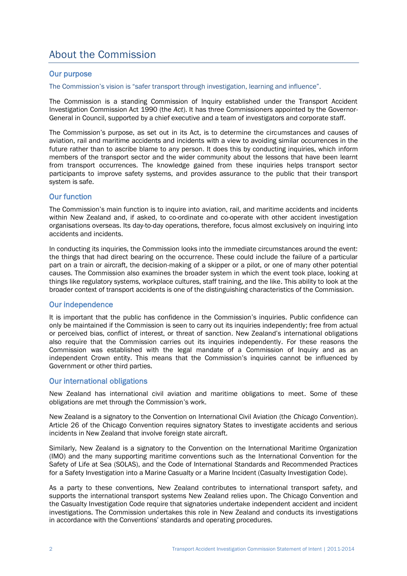## <span id="page-15-0"></span>About the Commission

#### <span id="page-15-1"></span>Our purpose

The Commission's vision is "safer transport through investigation, learning and influence".

The Commission is a standing Commission of Inquiry established under the Transport Accident Investigation Commission Act 1990 (the *Act*). It has three Commissioners appointed by the Governor-General in Council, supported by a chief executive and a team of investigators and corporate staff.

The Commission's purpose, as set out in its Act, is to determine the circumstances and causes of aviation, rail and maritime accidents and incidents with a view to avoiding similar occurrences in the future rather than to ascribe blame to any person. It does this by conducting inquiries, which inform members of the transport sector and the wider community about the lessons that have been learnt from transport occurrences. The knowledge gained from these inquiries helps transport sector participants to improve safety systems, and provides assurance to the public that their transport system is safe.

#### <span id="page-15-2"></span>Our function

The Commission's main function is to inquire into aviation, rail, and maritime accidents and incidents within New Zealand and, if asked, to co-ordinate and co-operate with other accident investigation organisations overseas. Its day-to-day operations, therefore, focus almost exclusively on inquiring into accidents and incidents.

In conducting its inquiries, the Commission looks into the immediate circumstances around the event: the things that had direct bearing on the occurrence. These could include the failure of a particular part on a train or aircraft, the decision-making of a skipper or a pilot, or one of many other potential causes. The Commission also examines the broader system in which the event took place, looking at things like regulatory systems, workplace cultures, staff training, and the like. This ability to look at the broader context of transport accidents is one of the distinguishing characteristics of the Commission.

#### <span id="page-15-3"></span>Our independence

It is important that the public has confidence in the Commission's inquiries. Public confidence can only be maintained if the Commission is seen to carry out its inquiries independently; free from actual or perceived bias, conflict of interest, or threat of sanction. New Zealand's international obligations also require that the Commission carries out its inquiries independently. For these reasons the Commission was established with the legal mandate of a Commission of Inquiry and as an independent Crown entity. This means that the Commission's inquiries cannot be influenced by Government or other third parties.

#### <span id="page-15-4"></span>Our international obligations

New Zealand has international civil aviation and maritime obligations to meet. Some of these obligations are met through the Commission's work.

New Zealand is a signatory to the Convention on International Civil Aviation (the *Chicago Convention*). Article 26 of the Chicago Convention requires signatory States to investigate accidents and serious incidents in New Zealand that involve foreign state aircraft.

Similarly, New Zealand is a signatory to the Convention on the International Maritime Organization (IMO) and the many supporting maritime conventions such as the International Convention for the Safety of Life at Sea (SOLAS), and the Code of International Standards and Recommended Practices for a Safety Investigation into a Marine Casualty or a Marine Incident (Casualty Investigation Code).

As a party to these conventions, New Zealand contributes to international transport safety, and supports the international transport systems New Zealand relies upon. The Chicago Convention and the Casualty Investigation Code require that signatories undertake independent accident and incident investigations. The Commission undertakes this role in New Zealand and conducts its investigations in accordance with the Conventions' standards and operating procedures.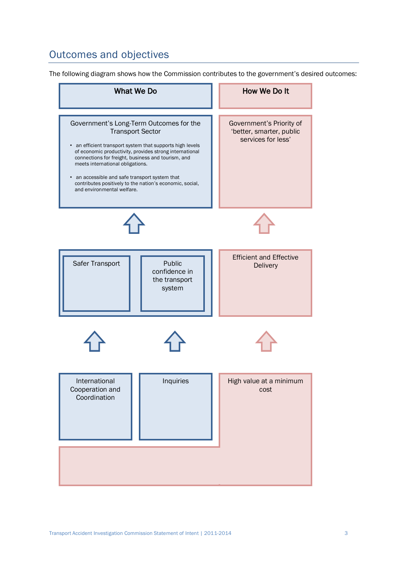## <span id="page-16-0"></span>Outcomes and objectives

The following diagram shows how the Commission contributes to the government's desired outcomes:

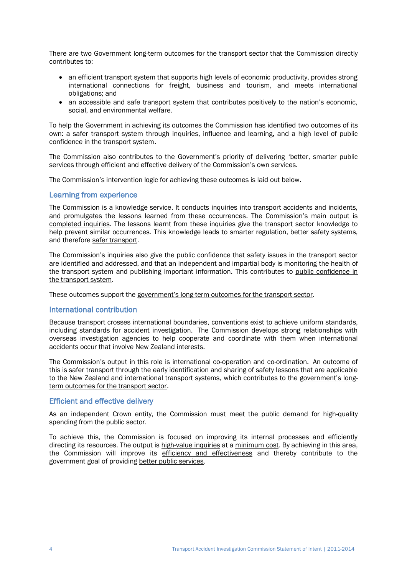There are two Government long-term outcomes for the transport sector that the Commission directly contributes to:

- an efficient transport system that supports high levels of economic productivity, provides strong international connections for freight, business and tourism, and meets international obligations; and
- an accessible and safe transport system that contributes positively to the nation's economic, social, and environmental welfare.

To help the Government in achieving its outcomes the Commission has identified two outcomes of its own: a safer transport system through inquiries, influence and learning, and a high level of public confidence in the transport system.

The Commission also contributes to the Government's priority of delivering 'better, smarter public services through efficient and effective delivery of the Commission's own services.

The Commission's intervention logic for achieving these outcomes is laid out below.

#### <span id="page-17-0"></span>Learning from experience

The Commission is a knowledge service. It conducts inquiries into transport accidents and incidents, and promulgates the lessons learned from these occurrences. The Commission's main output is completed inquiries. The lessons learnt from these inquiries give the transport sector knowledge to help prevent similar occurrences. This knowledge leads to smarter regulation, better safety systems, and therefore safer transport.

The Commission's inquiries also give the public confidence that safety issues in the transport sector are identified and addressed, and that an independent and impartial body is monitoring the health of the transport system and publishing important information. This contributes to public confidence in the transport system.

These outcomes support the government's long-term outcomes for the transport sector.

#### <span id="page-17-1"></span>International contribution

Because transport crosses international boundaries, conventions exist to achieve uniform standards, including standards for accident investigation. The Commission develops strong relationships with overseas investigation agencies to help cooperate and coordinate with them when international accidents occur that involve New Zealand interests.

The Commission's output in this role is international co-operation and co-ordination. An outcome of this is safer transport through the early identification and sharing of safety lessons that are applicable to the New Zealand and international transport systems, which contributes to the government's longterm outcomes for the transport sector.

#### <span id="page-17-2"></span>Efficient and effective delivery

As an independent Crown entity, the Commission must meet the public demand for high-quality spending from the public sector.

To achieve this, the Commission is focused on improving its internal processes and efficiently directing its resources. The output is high-value inquiries at a minimum cost. By achieving in this area, the Commission will improve its efficiency and effectiveness and thereby contribute to the government goal of providing better public services.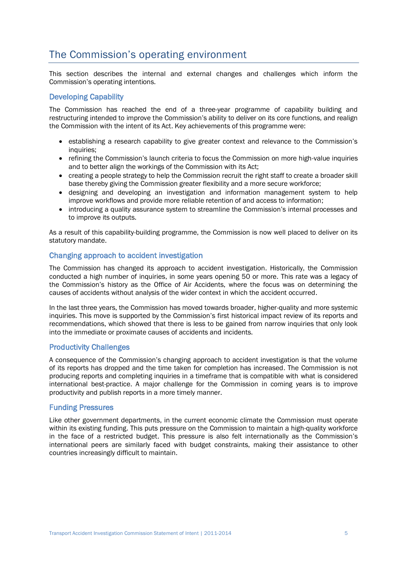## <span id="page-18-0"></span>The Commission's operating environment

This section describes the internal and external changes and challenges which inform the Commission's operating intentions.

#### <span id="page-18-1"></span>Developing Capability

The Commission has reached the end of a three-year programme of capability building and restructuring intended to improve the Commission's ability to deliver on its core functions, and realign the Commission with the intent of its Act. Key achievements of this programme were:

- establishing a research capability to give greater context and relevance to the Commission's inquiries:
- refining the Commission's launch criteria to focus the Commission on more high-value inquiries and to better align the workings of the Commission with its Act;
- creating a people strategy to help the Commission recruit the right staff to create a broader skill base thereby giving the Commission greater flexibility and a more secure workforce;
- designing and developing an investigation and information management system to help improve workflows and provide more reliable retention of and access to information;
- introducing a quality assurance system to streamline the Commission's internal processes and to improve its outputs.

As a result of this capability-building programme, the Commission is now well placed to deliver on its statutory mandate.

#### <span id="page-18-2"></span>Changing approach to accident investigation

The Commission has changed its approach to accident investigation. Historically, the Commission conducted a high number of inquiries, in some years opening 50 or more. This rate was a legacy of the Commission's history as the Office of Air Accidents, where the focus was on determining the causes of accidents without analysis of the wider context in which the accident occurred.

In the last three years, the Commission has moved towards broader, higher-quality and more systemic inquiries. This move is supported by the Commission's first historical impact review of its reports and recommendations, which showed that there is less to be gained from narrow inquiries that only look into the immediate or proximate causes of accidents and incidents.

#### <span id="page-18-3"></span>Productivity Challenges

A consequence of the Commission's changing approach to accident investigation is that the volume of its reports has dropped and the time taken for completion has increased. The Commission is not producing reports and completing inquiries in a timeframe that is compatible with what is considered international best-practice. A major challenge for the Commission in coming years is to improve productivity and publish reports in a more timely manner.

#### <span id="page-18-4"></span>Funding Pressures

Like other government departments, in the current economic climate the Commission must operate within its existing funding. This puts pressure on the Commission to maintain a high-quality workforce in the face of a restricted budget. This pressure is also felt internationally as the Commission's international peers are similarly faced with budget constraints, making their assistance to other countries increasingly difficult to maintain.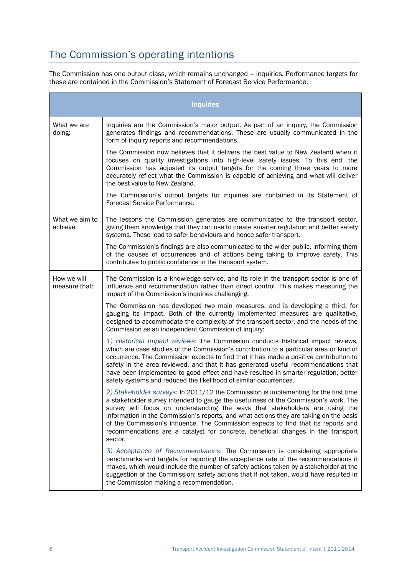## <span id="page-19-0"></span>The Commission's operating intentions

The Commission has one output class, which remains unchanged – inquiries. Performance targets for these are contained in the Commission's Statement of Forecast Service Performance.

|                              | <b>Inquiries</b>                                                                                                                                                                                                                                                                                                                                                                                                                                                                                                                          |
|------------------------------|-------------------------------------------------------------------------------------------------------------------------------------------------------------------------------------------------------------------------------------------------------------------------------------------------------------------------------------------------------------------------------------------------------------------------------------------------------------------------------------------------------------------------------------------|
| What we are<br>doing:        | Inquiries are the Commission's major output. As part of an inquiry, the Commission<br>generates findings and recommendations. These are usually communicated in the<br>form of inquiry reports and recommendations.                                                                                                                                                                                                                                                                                                                       |
|                              | The Commission now believes that it delivers the best value to New Zealand when it<br>focuses on quality investigations into high-level safety issues. To this end, the<br>Commission has adjusted its output targets for the coming three years to more<br>accurately reflect what the Commission is capable of achieving and what will deliver<br>the best value to New Zealand.                                                                                                                                                        |
|                              | The Commission's output targets for inquiries are contained in its Statement of<br>Forecast Service Performance.                                                                                                                                                                                                                                                                                                                                                                                                                          |
| What we aim to<br>achieve:   | The lessons the Commission generates are communicated to the transport sector,<br>giving them knowledge that they can use to create smarter regulation and better safety<br>systems. These lead to safer behaviours and hence safer transport.                                                                                                                                                                                                                                                                                            |
|                              | The Commission's findings are also communicated to the wider public, informing them<br>of the causes of occurrences and of actions being taking to improve safety. This<br>contributes to public confidence in the transport system.                                                                                                                                                                                                                                                                                                      |
| How we will<br>measure that: | The Commission is a knowledge service, and its role in the transport sector is one of<br>influence and recommendation rather than direct control. This makes measuring the<br>impact of the Commission's inquiries challenging.                                                                                                                                                                                                                                                                                                           |
|                              | The Commission has developed two main measures, and is developing a third, for<br>gauging its impact. Both of the currently implemented measures are qualitative,<br>designed to accommodate the complexity of the transport sector, and the needs of the<br>Commission as an independent Commission of inquiry:                                                                                                                                                                                                                          |
|                              | 1) Historical Impact reviews: The Commission conducts historical impact reviews,<br>which are case studies of the Commission's contribution to a particular area or kind of<br>occurrence. The Commission expects to find that it has made a positive contribution to<br>safety in the area reviewed, and that it has generated useful recommendations that<br>have been implemented to good effect and have resulted in smarter regulation, better<br>safety systems and reduced the likelihood of similar occurrences.                  |
|                              | 2) Stakeholder surveys: In 2011/12 the Commission is implementing for the first time<br>a stakeholder survey intended to gauge the usefulness of the Commission's work. The<br>survey will focus on understanding the ways that stakeholders are using the<br>information in the Commission's reports, and what actions they are taking on the basis<br>of the Commission's influence. The Commission expects to find that its reports and<br>recommendations are a catalyst for concrete, beneficial changes in the transport<br>sector. |
|                              | 3) Acceptance of Recommendations: The Commission is considering appropriate<br>benchmarks and targets for reporting the acceptance rate of the recommendations it<br>makes, which would include the number of safety actions taken by a stakeholder at the<br>suggestion of the Commission; safety actions that if not taken, would have resulted in<br>the Commission making a recommendation.                                                                                                                                           |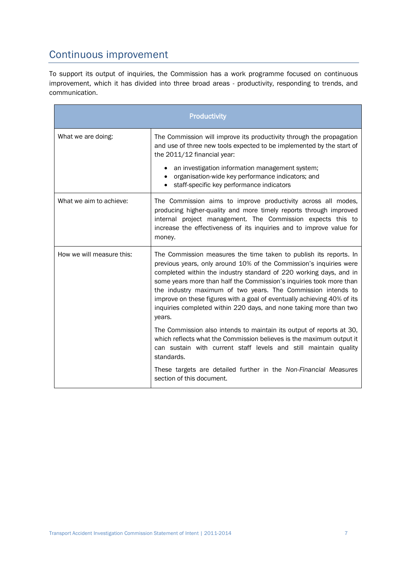## <span id="page-20-0"></span>Continuous improvement

To support its output of inquiries, the Commission has a work programme focused on continuous improvement, which it has divided into three broad areas - productivity, responding to trends, and communication.

| Productivity              |                                                                                                                                                                                                                                                                                                                                                                                                                                                                                                                 |  |
|---------------------------|-----------------------------------------------------------------------------------------------------------------------------------------------------------------------------------------------------------------------------------------------------------------------------------------------------------------------------------------------------------------------------------------------------------------------------------------------------------------------------------------------------------------|--|
| What we are doing:        | The Commission will improve its productivity through the propagation<br>and use of three new tools expected to be implemented by the start of<br>the 2011/12 financial year:                                                                                                                                                                                                                                                                                                                                    |  |
|                           | an investigation information management system;<br>organisation-wide key performance indicators; and<br>staff-specific key performance indicators                                                                                                                                                                                                                                                                                                                                                               |  |
| What we aim to achieve:   | The Commission aims to improve productivity across all modes,<br>producing higher-quality and more timely reports through improved<br>internal project management. The Commission expects this to<br>increase the effectiveness of its inquiries and to improve value for<br>money.                                                                                                                                                                                                                             |  |
| How we will measure this: | The Commission measures the time taken to publish its reports. In<br>previous years, only around 10% of the Commission's inquiries were<br>completed within the industry standard of 220 working days, and in<br>some years more than half the Commission's inquiries took more than<br>the industry maximum of two years. The Commission intends to<br>improve on these figures with a goal of eventually achieving 40% of its<br>inquiries completed within 220 days, and none taking more than two<br>vears. |  |
|                           | The Commission also intends to maintain its output of reports at 30,<br>which reflects what the Commission believes is the maximum output it<br>can sustain with current staff levels and still maintain quality<br>standards.                                                                                                                                                                                                                                                                                  |  |
|                           | These targets are detailed further in the Non-Financial Measures<br>section of this document.                                                                                                                                                                                                                                                                                                                                                                                                                   |  |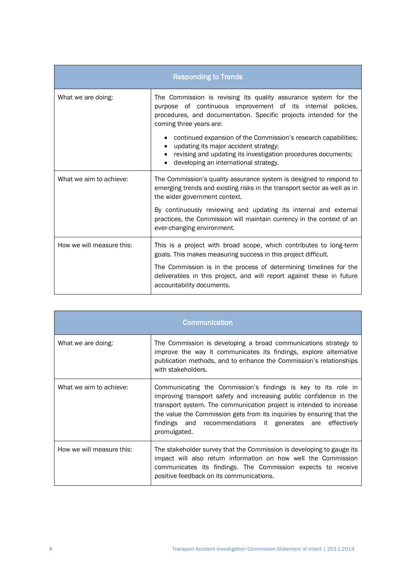| <b>Responding to Trends</b> |                                                                                                                                                                                                                                |  |  |
|-----------------------------|--------------------------------------------------------------------------------------------------------------------------------------------------------------------------------------------------------------------------------|--|--|
| What we are doing:          | The Commission is revising its quality assurance system for the<br>purpose of continuous improvement of its internal policies,<br>procedures, and documentation. Specific projects intended for the<br>coming three years are: |  |  |
|                             | • continued expansion of the Commission's research capabilities;<br>• updating its major accident strategy;<br>• revising and updating its investigation procedures documents;<br>developing an international strategy.        |  |  |
| What we aim to achieve:     | The Commission's quality assurance system is designed to respond to<br>emerging trends and existing risks in the transport sector as well as in<br>the wider government context.                                               |  |  |
|                             | By continuously reviewing and updating its internal and external<br>practices, the Commission will maintain currency in the context of an<br>ever-changing environment.                                                        |  |  |
| How we will measure this:   | This is a project with broad scope, which contributes to long-term<br>goals. This makes measuring success in this project difficult.                                                                                           |  |  |
|                             | The Commission is in the process of determining timelines for the<br>deliverables in this project, and will report against these in future<br>accountability documents.                                                        |  |  |

| <b>Communication</b>      |                                                                                                                                                                                                                                                                                                                                                                  |  |
|---------------------------|------------------------------------------------------------------------------------------------------------------------------------------------------------------------------------------------------------------------------------------------------------------------------------------------------------------------------------------------------------------|--|
| What we are doing:        | The Commission is developing a broad communications strategy to<br>improve the way it communicates its findings, explore alternative<br>publication methods, and to enhance the Commission's relationships<br>with stakeholders.                                                                                                                                 |  |
| What we aim to achieve:   | Communicating the Commission's findings is key to its role in<br>improving transport safety and increasing public confidence in the<br>transport system. The communication project is intended to increase<br>the value the Commission gets from its inquiries by ensuring that the<br>findings and recommendations it generates are effectively<br>promulgated. |  |
| How we will measure this: | The stakeholder survey that the Commission is developing to gauge its<br>impact will also return information on how well the Commission<br>communicates its findings. The Commission expects to receive<br>positive feedback on its communications.                                                                                                              |  |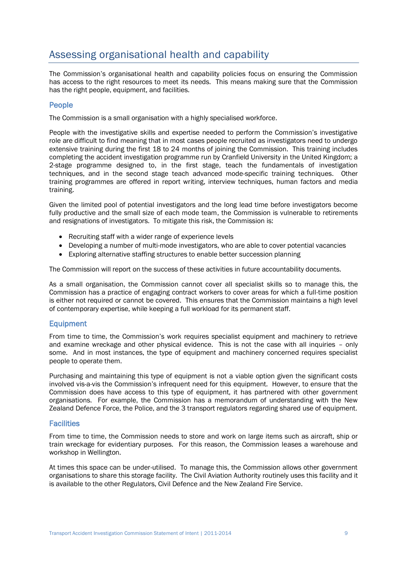## <span id="page-22-0"></span>Assessing organisational health and capability

The Commission's organisational health and capability policies focus on ensuring the Commission has access to the right resources to meet its needs. This means making sure that the Commission has the right people, equipment, and facilities.

#### <span id="page-22-1"></span>People

The Commission is a small organisation with a highly specialised workforce.

People with the investigative skills and expertise needed to perform the Commission's investigative role are difficult to find meaning that in most cases people recruited as investigators need to undergo extensive training during the first 18 to 24 months of joining the Commission. This training includes completing the accident investigation programme run by Cranfield University in the United Kingdom; a 2-stage programme designed to, in the first stage, teach the fundamentals of investigation techniques, and in the second stage teach advanced mode-specific training techniques. Other training programmes are offered in report writing, interview techniques, human factors and media training.

Given the limited pool of potential investigators and the long lead time before investigators become fully productive and the small size of each mode team, the Commission is vulnerable to retirements and resignations of investigators. To mitigate this risk, the Commission is:

- Recruiting staff with a wider range of experience levels
- Developing a number of multi-mode investigators, who are able to cover potential vacancies
- Exploring alternative staffing structures to enable better succession planning

The Commission will report on the success of these activities in future accountability documents.

As a small organisation, the Commission cannot cover all specialist skills so to manage this, the Commission has a practice of engaging contract workers to cover areas for which a full-time position is either not required or cannot be covered. This ensures that the Commission maintains a high level of contemporary expertise, while keeping a full workload for its permanent staff.

#### <span id="page-22-2"></span>Equipment

From time to time, the Commission's work requires specialist equipment and machinery to retrieve and examine wreckage and other physical evidence. This is not the case with all inquiries – only some. And in most instances, the type of equipment and machinery concerned requires specialist people to operate them.

Purchasing and maintaining this type of equipment is not a viable option given the significant costs involved vis-a-vis the Commission's infrequent need for this equipment. However, to ensure that the Commission does have access to this type of equipment, it has partnered with other government organisations. For example, the Commission has a memorandum of understanding with the New Zealand Defence Force, the Police, and the 3 transport regulators regarding shared use of equipment.

#### <span id="page-22-3"></span>**Facilities**

From time to time, the Commission needs to store and work on large items such as aircraft, ship or train wreckage for evidentiary purposes. For this reason, the Commission leases a warehouse and workshop in Wellington.

At times this space can be under-utilised. To manage this, the Commission allows other government organisations to share this storage facility. The Civil Aviation Authority routinely uses this facility and it is available to the other Regulators, Civil Defence and the New Zealand Fire Service.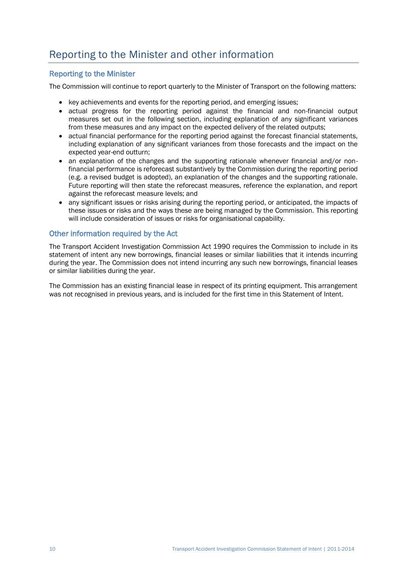## <span id="page-23-0"></span>Reporting to the Minister and other information

#### <span id="page-23-1"></span>Reporting to the Minister

The Commission will continue to report quarterly to the Minister of Transport on the following matters:

- key achievements and events for the reporting period, and emerging issues;
- actual progress for the reporting period against the financial and non-financial output measures set out in the following section, including explanation of any significant variances from these measures and any impact on the expected delivery of the related outputs;
- actual financial performance for the reporting period against the forecast financial statements, including explanation of any significant variances from those forecasts and the impact on the expected year-end outturn;
- an explanation of the changes and the supporting rationale whenever financial and/or nonfinancial performance is reforecast substantively by the Commission during the reporting period (e.g. a revised budget is adopted), an explanation of the changes and the supporting rationale. Future reporting will then state the reforecast measures, reference the explanation, and report against the reforecast measure levels; and
- any significant issues or risks arising during the reporting period, or anticipated, the impacts of these issues or risks and the ways these are being managed by the Commission. This reporting will include consideration of issues or risks for organisational capability.

#### <span id="page-23-2"></span>Other information required by the Act

The Transport Accident Investigation Commission Act 1990 requires the Commission to include in its statement of intent any new borrowings, financial leases or similar liabilities that it intends incurring during the year. The Commission does not intend incurring any such new borrowings, financial leases or similar liabilities during the year.

The Commission has an existing financial lease in respect of its printing equipment. This arrangement was not recognised in previous years, and is included for the first time in this Statement of Intent.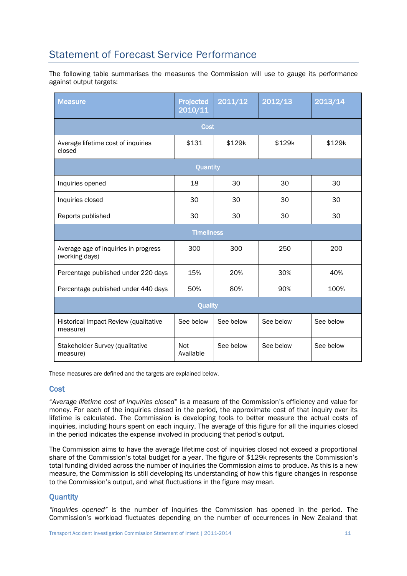## <span id="page-24-0"></span>Statement of Forecast Service Performance

The following table summarises the measures the Commission will use to gauge its performance against output targets:

| <b>Measure</b>                                         | Projected<br>2010/11    | 2011/12   | 2012/13   | 2013/14   |
|--------------------------------------------------------|-------------------------|-----------|-----------|-----------|
|                                                        | Cost                    |           |           |           |
| Average lifetime cost of inquiries<br>closed           | \$131                   | \$129k    | \$129k    | \$129k    |
|                                                        | Quantity                |           |           |           |
| Inquiries opened                                       | 18                      | 30        | 30        | 30        |
| Inquiries closed                                       | 30                      | 30        | 30        | 30        |
| Reports published                                      | 30                      | 30        | 30        | 30        |
|                                                        | <b>Timeliness</b>       |           |           |           |
| Average age of inquiries in progress<br>(working days) | 300                     | 300       | 250       | 200       |
| Percentage published under 220 days                    | 15%                     | 20%       | 30%       | 40%       |
| Percentage published under 440 days                    | 50%                     | 80%       | 90%       | 100%      |
| Quality                                                |                         |           |           |           |
| Historical Impact Review (qualitative<br>measure)      | See below               | See below | See below | See below |
| Stakeholder Survey (qualitative<br>measure)            | <b>Not</b><br>Available | See below | See below | See below |

These measures are defined and the targets are explained below.

#### <span id="page-24-1"></span>**Cost**

"*Average lifetime cost of inquiries closed*" is a measure of the Commission's efficiency and value for money. For each of the inquiries closed in the period, the approximate cost of that inquiry over its lifetime is calculated. The Commission is developing tools to better measure the actual costs of inquiries, including hours spent on each inquiry. The average of this figure for all the inquiries closed in the period indicates the expense involved in producing that period's output.

The Commission aims to have the average lifetime cost of inquiries closed not exceed a proportional share of the Commission's total budget for a year. The figure of \$129k represents the Commission's total funding divided across the number of inquiries the Commission aims to produce. As this is a new measure, the Commission is still developing its understanding of how this figure changes in response to the Commission's output, and what fluctuations in the figure may mean.

#### <span id="page-24-2"></span>**Ouantity**

*"Inquiries opened"* is the number of inquiries the Commission has opened in the period. The Commission's workload fluctuates depending on the number of occurrences in New Zealand that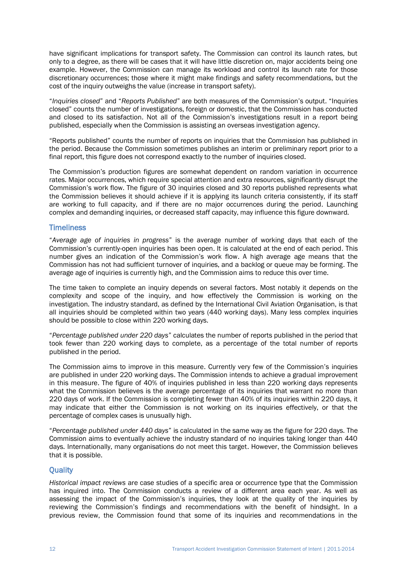have significant implications for transport safety. The Commission can control its launch rates, but only to a degree, as there will be cases that it will have little discretion on, major accidents being one example. However, the Commission can manage its workload and control its launch rate for those discretionary occurrences; those where it might make findings and safety recommendations, but the cost of the inquiry outweighs the value (increase in transport safety).

"*Inquiries closed*" and "*Reports Published*" are both measures of the Commission's output. "Inquiries closed" counts the number of investigations, foreign or domestic, that the Commission has conducted and closed to its satisfaction. Not all of the Commission's investigations result in a report being published, especially when the Commission is assisting an overseas investigation agency.

"Reports published" counts the number of reports on inquiries that the Commission has published in the period. Because the Commission sometimes publishes an interim or preliminary report prior to a final report, this figure does not correspond exactly to the number of inquiries closed.

The Commission's production figures are somewhat dependent on random variation in occurrence rates. Major occurrences, which require special attention and extra resources, significantly disrupt the Commission's work flow. The figure of 30 inquiries closed and 30 reports published represents what the Commission believes it should achieve if it is applying its launch criteria consistently, if its staff are working to full capacity, and if there are no major occurrences during the period. Launching complex and demanding inquiries, or decreased staff capacity, may influence this figure downward.

#### <span id="page-25-0"></span>**Timeliness**

"*Average age of inquiries in progress*" is the average number of working days that each of the Commission's currently-open inquiries has been open. It is calculated at the end of each period. This number gives an indication of the Commission's work flow. A high average age means that the Commission has not had sufficient turnover of inquiries, and a backlog or queue may be forming. The average age of inquiries is currently high, and the Commission aims to reduce this over time.

The time taken to complete an inquiry depends on several factors. Most notably it depends on the complexity and scope of the inquiry, and how effectively the Commission is working on the investigation. The industry standard, as defined by the International Civil Aviation Organisation, is that all inquiries should be completed within two years (440 working days). Many less complex inquiries should be possible to close within 220 working days.

"*Percentage published under 220 days*" calculates the number of reports published in the period that took fewer than 220 working days to complete, as a percentage of the total number of reports published in the period.

The Commission aims to improve in this measure. Currently very few of the Commission's inquiries are published in under 220 working days. The Commission intends to achieve a gradual improvement in this measure. The figure of 40% of inquiries published in less than 220 working days represents what the Commission believes is the average percentage of its inquiries that warrant no more than 220 days of work. If the Commission is completing fewer than 40% of its inquiries within 220 days, it may indicate that either the Commission is not working on its inquiries effectively, or that the percentage of complex cases is unusually high.

"*Percentage published under 440 days*" is calculated in the same way as the figure for 220 days. The Commission aims to eventually achieve the industry standard of no inquiries taking longer than 440 days. Internationally, many organisations do not meet this target. However, the Commission believes that it is possible.

#### <span id="page-25-1"></span>**Ouality**

*Historical impact reviews* are case studies of a specific area or occurrence type that the Commission has inquired into. The Commission conducts a review of a different area each year. As well as assessing the impact of the Commission's inquiries, they look at the quality of the inquiries by reviewing the Commission's findings and recommendations with the benefit of hindsight. In a previous review, the Commission found that some of its inquiries and recommendations in the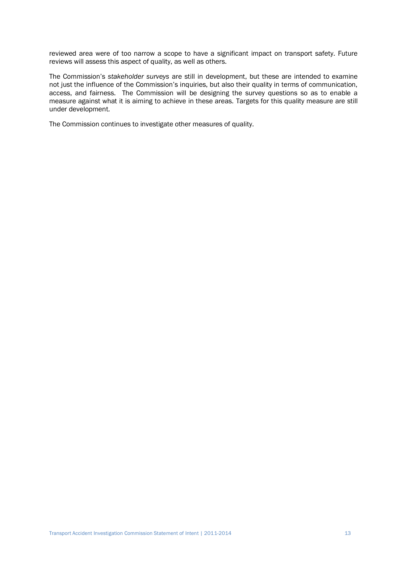reviewed area were of too narrow a scope to have a significant impact on transport safety. Future reviews will assess this aspect of quality, as well as others.

The Commission's *stakeholder surveys* are still in development, but these are intended to examine not just the influence of the Commission's inquiries, but also their quality in terms of communication, access, and fairness. The Commission will be designing the survey questions so as to enable a measure against what it is aiming to achieve in these areas. Targets for this quality measure are still under development.

The Commission continues to investigate other measures of quality.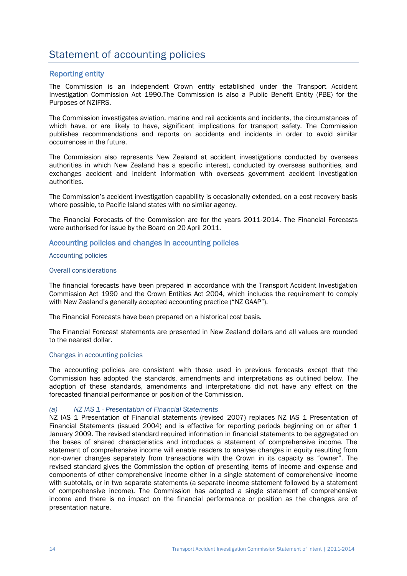## <span id="page-27-0"></span>Statement of accounting policies

#### <span id="page-27-1"></span>Reporting entity

The Commission is an independent Crown entity established under the Transport Accident Investigation Commission Act 1990.The Commission is also a Public Benefit Entity (PBE) for the Purposes of NZIFRS.

The Commission investigates aviation, marine and rail accidents and incidents, the circumstances of which have, or are likely to have, significant implications for transport safety. The Commission publishes recommendations and reports on accidents and incidents in order to avoid similar occurrences in the future.

The Commission also represents New Zealand at accident investigations conducted by overseas authorities in which New Zealand has a specific interest, conducted by overseas authorities, and exchanges accident and incident information with overseas government accident investigation authorities.

The Commission's accident investigation capability is occasionally extended, on a cost recovery basis where possible, to Pacific Island states with no similar agency.

The Financial Forecasts of the Commission are for the years 2011-2014. The Financial Forecasts were authorised for issue by the Board on 20 April 2011.

#### <span id="page-27-2"></span>Accounting policies and changes in accounting policies

#### Accounting policies

#### Overall considerations

The financial forecasts have been prepared in accordance with the Transport Accident Investigation Commission Act 1990 and the Crown Entities Act 2004, which includes the requirement to comply with New Zealand's generally accepted accounting practice ("NZ GAAP").

The Financial Forecasts have been prepared on a historical cost basis.

The Financial Forecast statements are presented in New Zealand dollars and all values are rounded to the nearest dollar.

#### Changes in accounting policies

The accounting policies are consistent with those used in previous forecasts except that the Commission has adopted the standards, amendments and interpretations as outlined below. The adoption of these standards, amendments and interpretations did not have any effect on the forecasted financial performance or position of the Commission.

#### *(a) NZ IAS 1 - Presentation of Financial Statements*

NZ IAS 1 Presentation of Financial statements (revised 2007) replaces NZ IAS 1 Presentation of Financial Statements (issued 2004) and is effective for reporting periods beginning on or after 1 January 2009. The revised standard required information in financial statements to be aggregated on the bases of shared characteristics and introduces a statement of comprehensive income. The statement of comprehensive income will enable readers to analyse changes in equity resulting from non-owner changes separately from transactions with the Crown in its capacity as "owner". The revised standard gives the Commission the option of presenting items of income and expense and components of other comprehensive income either in a single statement of comprehensive income with subtotals, or in two separate statements (a separate income statement followed by a statement of comprehensive income). The Commission has adopted a single statement of comprehensive income and there is no impact on the financial performance or position as the changes are of presentation nature.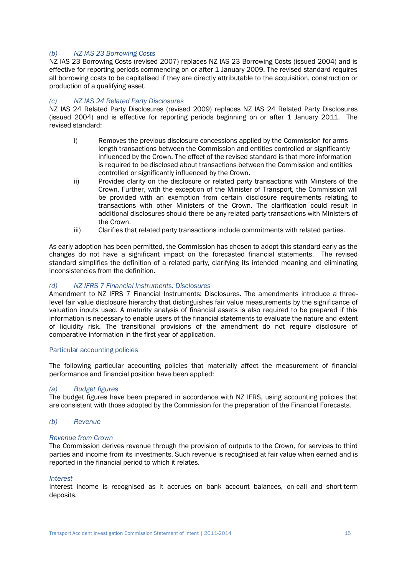#### *(b) NZ IAS 23 Borrowing Costs*

NZ IAS 23 Borrowing Costs (revised 2007) replaces NZ IAS 23 Borrowing Costs (issued 2004) and is effective for reporting periods commencing on or after 1 January 2009. The revised standard requires all borrowing costs to be capitalised if they are directly attributable to the acquisition, construction or production of a qualifying asset.

#### *(c) NZ IAS 24 Related Party Disclosures*

NZ IAS 24 Related Party Disclosures (revised 2009) replaces NZ IAS 24 Related Party Disclosures (issued 2004) and is effective for reporting periods beginning on or after 1 January 2011. The revised standard:

- i) Removes the previous disclosure concessions applied by the Commission for armslength transactions between the Commission and entities controlled or significantly influenced by the Crown. The effect of the revised standard is that more information is required to be disclosed about transactions between the Commission and entities controlled or significantly influenced by the Crown.
- ii) Provides clarity on the disclosure or related party transactions with Minsters of the Crown. Further, with the exception of the Minister of Transport, the Commission will be provided with an exemption from certain disclosure requirements relating to transactions with other Ministers of the Crown. The clarification could result in additional disclosures should there be any related party transactions with Ministers of the Crown.
- iii) Clarifies that related party transactions include commitments with related parties.

As early adoption has been permitted, the Commission has chosen to adopt this standard early as the changes do not have a significant impact on the forecasted financial statements. The revised standard simplifies the definition of a related party, clarifying its intended meaning and eliminating inconsistencies from the definition.

#### *(d) NZ IFRS 7 Financial Instruments: Disclosures*

Amendment to NZ IFRS 7 Financial Instruments: Disclosures. The amendments introduce a threelevel fair value disclosure hierarchy that distinguishes fair value measurements by the significance of valuation inputs used. A maturity analysis of financial assets is also required to be prepared if this information is necessary to enable users of the financial statements to evaluate the nature and extent of liquidity risk. The transitional provisions of the amendment do not require disclosure of comparative information in the first year of application.

#### Particular accounting policies

The following particular accounting policies that materially affect the measurement of financial performance and financial position have been applied:

#### *(a) Budget figures*

The budget figures have been prepared in accordance with NZ IFRS, using accounting policies that are consistent with those adopted by the Commission for the preparation of the Financial Forecasts.

#### *(b) Revenue*

#### *Revenue from Crown*

The Commission derives revenue through the provision of outputs to the Crown, for services to third parties and income from its investments. Such revenue is recognised at fair value when earned and is reported in the financial period to which it relates.

#### *Interest*

Interest income is recognised as it accrues on bank account balances, on-call and short-term deposits.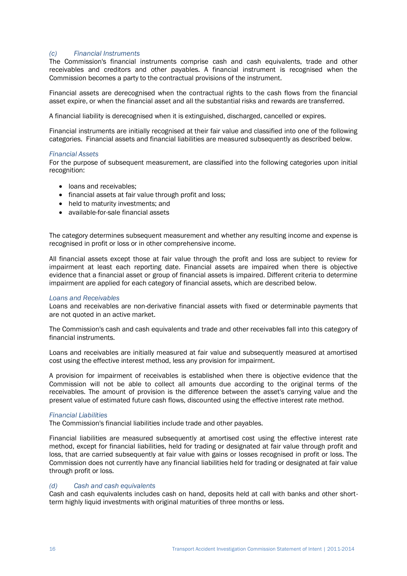#### *(c) Financial Instruments*

The Commission's financial instruments comprise cash and cash equivalents, trade and other receivables and creditors and other payables. A financial instrument is recognised when the Commission becomes a party to the contractual provisions of the instrument.

Financial assets are derecognised when the contractual rights to the cash flows from the financial asset expire, or when the financial asset and all the substantial risks and rewards are transferred.

A financial liability is derecognised when it is extinguished, discharged, cancelled or expires.

Financial instruments are initially recognised at their fair value and classified into one of the following categories. Financial assets and financial liabilities are measured subsequently as described below.

#### *Financial Assets*

For the purpose of subsequent measurement, are classified into the following categories upon initial recognition:

- loans and receivables:
- financial assets at fair value through profit and loss;
- held to maturity investments; and
- available-for-sale financial assets

The category determines subsequent measurement and whether any resulting income and expense is recognised in profit or loss or in other comprehensive income.

All financial assets except those at fair value through the profit and loss are subject to review for impairment at least each reporting date. Financial assets are impaired when there is objective evidence that a financial asset or group of financial assets is impaired. Different criteria to determine impairment are applied for each category of financial assets, which are described below.

#### *Loans and Receivables*

Loans and receivables are non-derivative financial assets with fixed or determinable payments that are not quoted in an active market.

The Commission's cash and cash equivalents and trade and other receivables fall into this category of financial instruments.

Loans and receivables are initially measured at fair value and subsequently measured at amortised cost using the effective interest method, less any provision for impairment.

A provision for impairment of receivables is established when there is objective evidence that the Commission will not be able to collect all amounts due according to the original terms of the receivables. The amount of provision is the difference between the asset's carrying value and the present value of estimated future cash flows, discounted using the effective interest rate method.

#### *Financial Liabilities*

The Commission's financial liabilities include trade and other payables.

Financial liabilities are measured subsequently at amortised cost using the effective interest rate method, except for financial liabilities, held for trading or designated at fair value through profit and loss, that are carried subsequently at fair value with gains or losses recognised in profit or loss. The Commission does not currently have any financial liabilities held for trading or designated at fair value through profit or loss.

#### *(d) Cash and cash equivalents*

Cash and cash equivalents includes cash on hand, deposits held at call with banks and other shortterm highly liquid investments with original maturities of three months or less.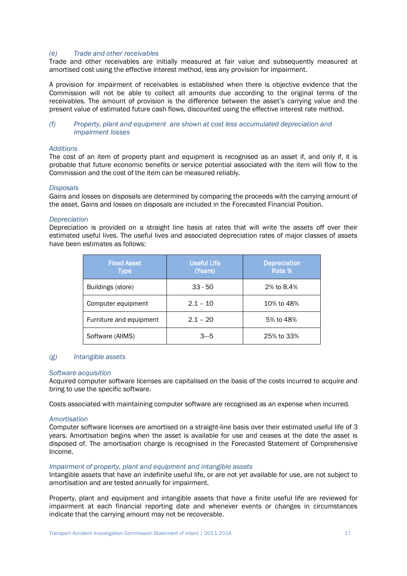#### *(e) Trade and other receivables*

Trade and other receivables are initially measured at fair value and subsequently measured at amortised cost using the effective interest method, less any provision for impairment.

A provision for impairment of receivables is established when there is objective evidence that the Commission will not be able to collect all amounts due according to the original terms of the receivables. The amount of provision is the difference between the asset's carrying value and the present value of estimated future cash flows, discounted using the effective interest rate method.

#### *(f) Property, plant and equipment are shown at cost less accumulated depreciation and impairment losses*

#### *Additions*

The cost of an item of property plant and equipment is recognised as an asset if, and only if, it is probable that future economic benefits or service potential associated with the item will flow to the Commission and the cost of the item can be measured reliably.

#### *Disposals*

Gains and losses on disposals are determined by comparing the proceeds with the carrying amount of the asset. Gains and losses on disposals are included in the Forecasted Financial Position.

#### *Depreciation*

Depreciation is provided on a straight line basis at rates that will write the assets off over their estimated useful lives. The useful lives and associated depreciation rates of major classes of assets have been estimates as follows:

| <b>Fixed Asset</b><br><b>Type</b> | <b>Useful Life</b><br>(Years) | <b>Depreciation</b><br>Rate % |
|-----------------------------------|-------------------------------|-------------------------------|
| Buildings (store)                 | $33 - 50$                     | 2% to 8.4%                    |
| Computer equipment                | $2.1 - 10$                    | 10% to 48%                    |
| Furniture and equipment           | $2.1 - 20$                    | 5% to 48%                     |
| Software (AllMS)                  | $3 - 5$                       | 25% to 33%                    |

#### *(g) Intangible assets*

#### *Software acquisition*

Acquired computer software licenses are capitalised on the basis of the costs incurred to acquire and bring to use the specific software.

Costs associated with maintaining computer software are recognised as an expense when incurred.

#### *Amortisation*

Computer software licenses are amortised on a straight-line basis over their estimated useful life of 3 years. Amortisation begins when the asset is available for use and ceases at the date the asset is disposed of. The amortisation charge is recognised in the Forecasted Statement of Comprehensive Income.

#### *Impairment of property, plant and equipment and intangible assets*

Intangible assets that have an indefinite useful life, or are not yet available for use, are not subject to amortisation and are tested annually for impairment.

Property, plant and equipment and intangible assets that have a finite useful life are reviewed for impairment at each financial reporting date and whenever events or changes in circumstances indicate that the carrying amount may not be recoverable.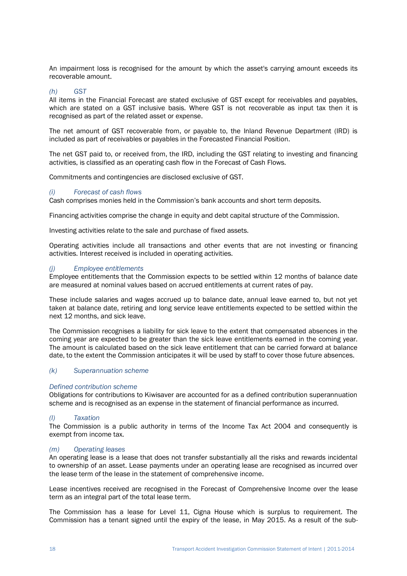An impairment loss is recognised for the amount by which the asset's carrying amount exceeds its recoverable amount.

#### *(h) GST*

All items in the Financial Forecast are stated exclusive of GST except for receivables and payables, which are stated on a GST inclusive basis. Where GST is not recoverable as input tax then it is recognised as part of the related asset or expense.

The net amount of GST recoverable from, or payable to, the Inland Revenue Department (IRD) is included as part of receivables or payables in the Forecasted Financial Position.

The net GST paid to, or received from, the IRD, including the GST relating to investing and financing activities, is classified as an operating cash flow in the Forecast of Cash Flows.

Commitments and contingencies are disclosed exclusive of GST.

#### *(i) Forecast of cash flows*

Cash comprises monies held in the Commission's bank accounts and short term deposits.

Financing activities comprise the change in equity and debt capital structure of the Commission.

Investing activities relate to the sale and purchase of fixed assets.

Operating activities include all transactions and other events that are not investing or financing activities. Interest received is included in operating activities.

#### *(j) Employee entitlements*

Employee entitlements that the Commission expects to be settled within 12 months of balance date are measured at nominal values based on accrued entitlements at current rates of pay.

These include salaries and wages accrued up to balance date, annual leave earned to, but not yet taken at balance date, retiring and long service leave entitlements expected to be settled within the next 12 months, and sick leave.

The Commission recognises a liability for sick leave to the extent that compensated absences in the coming year are expected to be greater than the sick leave entitlements earned in the coming year. The amount is calculated based on the sick leave entitlement that can be carried forward at balance date, to the extent the Commission anticipates it will be used by staff to cover those future absences.

#### *(k) Superannuation scheme*

#### *Defined contribution scheme*

Obligations for contributions to Kiwisaver are accounted for as a defined contribution superannuation scheme and is recognised as an expense in the statement of financial performance as incurred.

#### *(l) Taxation*

The Commission is a public authority in terms of the Income Tax Act 2004 and consequently is exempt from income tax.

#### *(m) Operating leases*

An operating lease is a lease that does not transfer substantially all the risks and rewards incidental to ownership of an asset. Lease payments under an operating lease are recognised as incurred over the lease term of the lease in the statement of comprehensive income.

Lease incentives received are recognised in the Forecast of Comprehensive Income over the lease term as an integral part of the total lease term.

The Commission has a lease for Level 11, Cigna House which is surplus to requirement. The Commission has a tenant signed until the expiry of the lease, in May 2015. As a result of the sub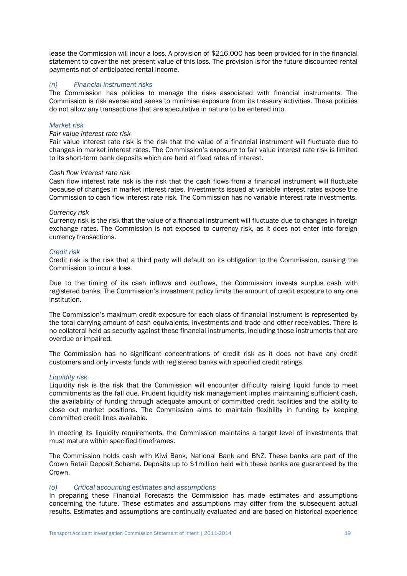lease the Commission will incur a loss. A provision of \$216,000 has been provided for in the financial statement to cover the net present value of this loss. The provision is for the future discounted rental payments not of anticipated rental income.

#### *(n) Financial instrument risks*

The Commission has policies to manage the risks associated with financial instruments. The Commission is risk averse and seeks to minimise exposure from its treasury activities. These policies do not allow any transactions that are speculative in nature to be entered into.

#### *Market risk*

#### *Fair value interest rate risk*

Fair value interest rate risk is the risk that the value of a financial instrument will fluctuate due to changes in market interest rates. The Commission's exposure to fair value interest rate risk is limited to its short-term bank deposits which are held at fixed rates of interest.

#### *Cash flow interest rate risk*

Cash flow interest rate risk is the risk that the cash flows from a financial instrument will fluctuate because of changes in market interest rates. Investments issued at variable interest rates expose the Commission to cash flow interest rate risk. The Commission has no variable interest rate investments.

#### *Currency risk*

Currency risk is the risk that the value of a financial instrument will fluctuate due to changes in foreign exchange rates. The Commission is not exposed to currency risk, as it does not enter into foreign currency transactions.

#### *Credit risk*

Credit risk is the risk that a third party will default on its obligation to the Commission, causing the Commission to incur a loss.

Due to the timing of its cash inflows and outflows, the Commission invests surplus cash with registered banks. The Commission's investment policy limits the amount of credit exposure to any one institution.

The Commission's maximum credit exposure for each class of financial instrument is represented by the total carrying amount of cash equivalents, investments and trade and other receivables. There is no collateral held as security against these financial instruments, including those instruments that are overdue or impaired.

The Commission has no significant concentrations of credit risk as it does not have any credit customers and only invests funds with registered banks with specified credit ratings.

#### *Liquidity risk*

Liquidity risk is the risk that the Commission will encounter difficulty raising liquid funds to meet commitments as the fall due. Prudent liquidity risk management implies maintaining sufficient cash, the availability of funding through adequate amount of committed credit facilities and the ability to close out market positions. The Commission aims to maintain flexibility in funding by keeping committed credit lines available.

In meeting its liquidity requirements, the Commission maintains a target level of investments that must mature within specified timeframes.

The Commission holds cash with Kiwi Bank, National Bank and BNZ. These banks are part of the Crown Retail Deposit Scheme. Deposits up to \$1million held with these banks are guaranteed by the Crown.

#### *(o) Critical accounting estimates and assumptions*

In preparing these Financial Forecasts the Commission has made estimates and assumptions concerning the future. These estimates and assumptions may differ from the subsequent actual results. Estimates and assumptions are continually evaluated and are based on historical experience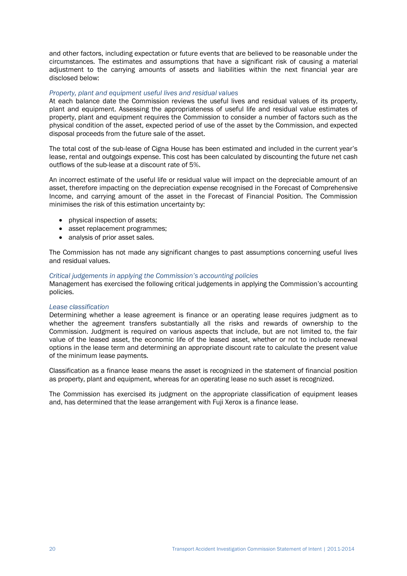and other factors, including expectation or future events that are believed to be reasonable under the circumstances. The estimates and assumptions that have a significant risk of causing a material adjustment to the carrying amounts of assets and liabilities within the next financial year are disclosed below:

#### *Property, plant and equipment useful lives and residual values*

At each balance date the Commission reviews the useful lives and residual values of its property, plant and equipment. Assessing the appropriateness of useful life and residual value estimates of property, plant and equipment requires the Commission to consider a number of factors such as the physical condition of the asset, expected period of use of the asset by the Commission, and expected disposal proceeds from the future sale of the asset.

The total cost of the sub-lease of Cigna House has been estimated and included in the current year's lease, rental and outgoings expense. This cost has been calculated by discounting the future net cash outflows of the sub-lease at a discount rate of 5%.

An incorrect estimate of the useful life or residual value will impact on the depreciable amount of an asset, therefore impacting on the depreciation expense recognised in the Forecast of Comprehensive Income, and carrying amount of the asset in the Forecast of Financial Position. The Commission minimises the risk of this estimation uncertainty by:

- physical inspection of assets;
- asset replacement programmes;
- analysis of prior asset sales.

The Commission has not made any significant changes to past assumptions concerning useful lives and residual values.

#### *Critical judgements in applying the Commission's accounting policies*

Management has exercised the following critical judgements in applying the Commission's accounting policies.

#### *Lease classification*

Determining whether a lease agreement is finance or an operating lease requires judgment as to whether the agreement transfers substantially all the risks and rewards of ownership to the Commission. Judgment is required on various aspects that include, but are not limited to, the fair value of the leased asset, the economic life of the leased asset, whether or not to include renewal options in the lease term and determining an appropriate discount rate to calculate the present value of the minimum lease payments.

Classification as a finance lease means the asset is recognized in the statement of financial position as property, plant and equipment, whereas for an operating lease no such asset is recognized.

The Commission has exercised its judgment on the appropriate classification of equipment leases and, has determined that the lease arrangement with Fuji Xerox is a finance lease.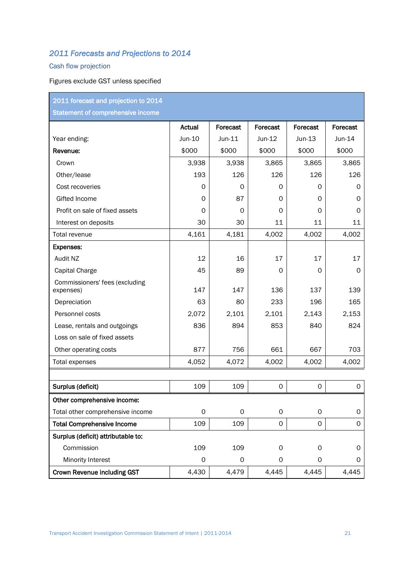## <span id="page-34-0"></span>*2011 Forecasts and Projections to 2014*

#### Cash flow projection

Figures exclude GST unless specified

| 2011 forecast and projection to 2014        |                     |          |          |                     |                     |
|---------------------------------------------|---------------------|----------|----------|---------------------|---------------------|
| <b>Statement of comprehensive income</b>    |                     |          |          |                     |                     |
|                                             | Actual              | Forecast | Forecast | Forecast            | Forecast            |
| Year ending:                                | Jun-10              | Jun-11   | Jun-12   | Jun-13              | $Jun-14$            |
| Revenue:                                    | \$000               | \$000    | \$000    | \$000               | \$000               |
| Crown                                       | 3,938               | 3,938    | 3,865    | 3,865               | 3,865               |
| Other/lease                                 | 193                 | 126      | 126      | 126                 | 126                 |
| Cost recoveries                             | 0                   | 0        | 0        | 0                   | 0                   |
| Gifted Income                               | 0                   | 87       | 0        | 0                   | 0                   |
| Profit on sale of fixed assets              | 0                   | 0        | 0        | 0                   | 0                   |
| Interest on deposits                        | 30                  | 30       | 11       | 11                  | 11                  |
| Total revenue                               | 4,161               | 4,181    | 4,002    | 4,002               | 4,002               |
| <b>Expenses:</b>                            |                     |          |          |                     |                     |
| Audit NZ                                    | 12                  | 16       | 17       | 17                  | 17                  |
| Capital Charge                              | 45                  | 89       | 0        | 0                   | 0                   |
| Commissioners' fees (excluding<br>expenses) | 147                 | 147      | 136      | 137                 | 139                 |
| Depreciation                                | 63                  | 80       | 233      | 196                 | 165                 |
| Personnel costs                             | 2,072               | 2,101    | 2,101    | 2,143               | 2,153               |
| Lease, rentals and outgoings                | 836                 | 894      | 853      | 840                 | 824                 |
| Loss on sale of fixed assets                |                     |          |          |                     |                     |
| Other operating costs                       | 877                 | 756      | 661      | 667                 | 703                 |
| <b>Total expenses</b>                       | 4,052               | 4,072    | 4,002    | 4,002               | 4,002               |
|                                             |                     |          |          |                     |                     |
| Surplus (deficit)                           | 109                 | 109      | 0        | $\mathsf{O}\xspace$ | $\mathsf{O}\xspace$ |
| Other comprehensive income:                 |                     |          |          |                     |                     |
| Total other comprehensive income            | $\mathsf{O}\xspace$ | 0        | 0        | 0                   | 0                   |
| <b>Total Comprehensive Income</b>           | 109                 | 109      | 0        | 0                   | $\mathsf{O}\xspace$ |
| Surplus (deficit) attributable to:          |                     |          |          |                     |                     |
| Commission                                  | 109                 | 109      | 0        | $\mathsf{O}\xspace$ | 0                   |
| Minority Interest                           | $\mathsf{O}\xspace$ | 0        | 0        | 0                   | 0                   |
| Crown Revenue including GST                 | 4,430               | 4,479    | 4,445    | 4,445               | 4,445               |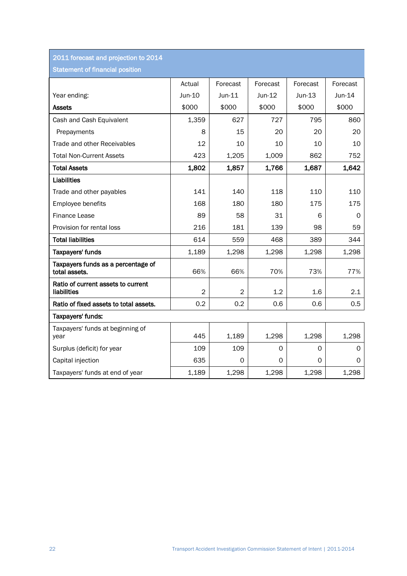2011 forecast and projection to 2014

| Statement of financial position |  |  |
|---------------------------------|--|--|
|                                 |  |  |

|                                                     | Actual         | Forecast       | Forecast | Forecast | Forecast |  |  |
|-----------------------------------------------------|----------------|----------------|----------|----------|----------|--|--|
| Year ending:                                        | Jun-10         | $Jun-11$       | $Jun-12$ | $Jun-13$ | $Jun-14$ |  |  |
| <b>Assets</b>                                       | \$000          | \$000          | \$000    | \$000    |          |  |  |
|                                                     |                |                |          |          | \$000    |  |  |
| Cash and Cash Equivalent                            | 1,359          | 627            | 727      | 795      | 860      |  |  |
| Prepayments                                         | 8              | 15             | 20       | 20       | 20       |  |  |
| Trade and other Receivables                         | 12             | 10             | 10       | 10       | 10       |  |  |
| <b>Total Non-Current Assets</b>                     | 423            | 1,205          | 1,009    | 862      | 752      |  |  |
| <b>Total Assets</b>                                 | 1,802          | 1,857          | 1,766    | 1,687    | 1,642    |  |  |
| <b>Liabilities</b>                                  |                |                |          |          |          |  |  |
| Trade and other payables                            | 141            | 140            | 118      | 110      | 110      |  |  |
| Employee benefits                                   | 168            | 180            | 180      | 175      | 175      |  |  |
| Finance Lease                                       | 89             | 58             | 31       | 6        | 0        |  |  |
| Provision for rental loss                           | 216            | 181            | 139      | 98       | 59       |  |  |
| <b>Total liabilities</b>                            | 614            | 559            | 468      | 389      | 344      |  |  |
| <b>Taxpayers' funds</b>                             | 1,189          | 1,298          | 1,298    | 1,298    | 1,298    |  |  |
| Taxpayers funds as a percentage of<br>total assets. | 66%            | 66%            | 70%      | 73%      | 77%      |  |  |
| Ratio of current assets to current<br>liabilities   | $\overline{2}$ | $\overline{2}$ | 1.2      | 1.6      | 2.1      |  |  |
| Ratio of fixed assets to total assets.              | 0.2            | 0.2            | 0.6      | 0.6      | 0.5      |  |  |
| Taxpayers' funds:                                   |                |                |          |          |          |  |  |
| Taxpayers' funds at beginning of<br>year            | 445            | 1,189          | 1,298    | 1,298    | 1,298    |  |  |
| Surplus (deficit) for year                          | 109            | 109            | 0        | 0        | 0        |  |  |
| Capital injection                                   | 635            | $\Omega$       | $\Omega$ | $\Omega$ | 0        |  |  |
| Taxpayers' funds at end of year                     | 1,189          | 1,298          | 1,298    | 1,298    | 1,298    |  |  |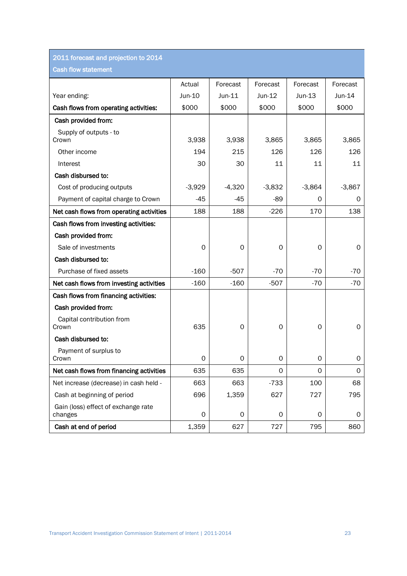2011 forecast and projection to 2014

Cash flow statement

|                                                | Actual   | Forecast | Forecast     | Forecast | Forecast |
|------------------------------------------------|----------|----------|--------------|----------|----------|
| Year ending:                                   | Jun-10   | Jun-11   | Jun-12       | $Jun-13$ | $Jun-14$ |
| Cash flows from operating activities:          | \$000    | \$000    | \$000        | \$000    | \$000    |
| Cash provided from:                            |          |          |              |          |          |
| Supply of outputs - to<br>Crown                | 3,938    | 3,938    | 3,865        | 3,865    | 3,865    |
| Other income                                   | 194      | 215      | 126          | 126      | 126      |
| Interest                                       | 30       | 30       | 11           | 11       | 11       |
| Cash disbursed to:                             |          |          |              |          |          |
| Cost of producing outputs                      | $-3,929$ | -4,320   | $-3,832$     | $-3,864$ | $-3,867$ |
| Payment of capital charge to Crown             | -45      | -45      | -89          | 0        | 0        |
| Net cash flows from operating activities       | 188      | 188      | $-226$       | 170      | 138      |
| Cash flows from investing activities:          |          |          |              |          |          |
| Cash provided from:                            |          |          |              |          |          |
| Sale of investments                            | 0        | 0        | 0            | 0        | 0        |
| Cash disbursed to:                             |          |          |              |          |          |
| Purchase of fixed assets                       | $-160$   | $-507$   | -70          | $-70$    | -70      |
| Net cash flows from investing activities       | $-160$   | $-160$   | $-507$       | $-70$    | $-70$    |
| Cash flows from financing activities:          |          |          |              |          |          |
| Cash provided from:                            |          |          |              |          |          |
| Capital contribution from<br>Crown             | 635      | $\Omega$ | $\Omega$     | 0        | 0        |
| Cash disbursed to:                             |          |          |              |          |          |
| Payment of surplus to<br>Crown                 | 0        | 0        | 0            | $\Omega$ | 0        |
| Net cash flows from financing activities       | 635      | 635      | $\mathsf{O}$ | 0        | 0        |
| Net increase (decrease) in cash held -         | 663      | 663      | $-733$       | 100      | 68       |
| Cash at beginning of period                    | 696      | 1,359    | 627          | 727      | 795      |
| Gain (loss) effect of exchange rate<br>changes | 0        | 0        | 0            | 0        | 0        |
| Cash at end of period                          | 1,359    | 627      | 727          | 795      | 860      |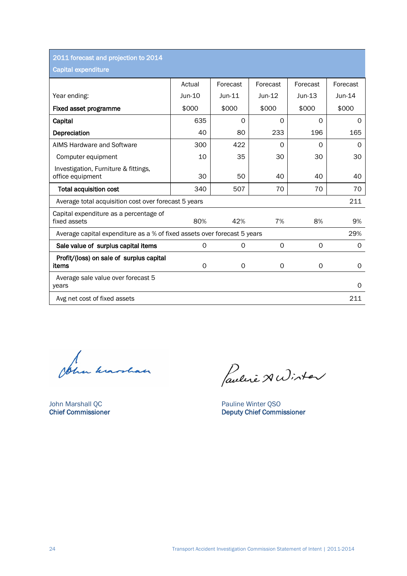| 2011 forecast and projection to 2014                                            |        |          |          |          |          |
|---------------------------------------------------------------------------------|--------|----------|----------|----------|----------|
| <b>Capital expenditure</b>                                                      |        |          |          |          |          |
|                                                                                 | Actual | Forecast | Forecast | Forecast | Forecast |
| Year ending:                                                                    | Jun-10 | $Jun-11$ | $Jun-12$ | $Jun-13$ | $Jun-14$ |
| Fixed asset programme                                                           | \$000  | \$000    | \$000    | \$000    | \$000    |
| Capital                                                                         | 635    | $\Omega$ | $\Omega$ | $\Omega$ | $\Omega$ |
| Depreciation                                                                    | 40     | 80       | 233      | 196      | 165      |
| AIMS Hardware and Software                                                      | 300    | 422      | $\Omega$ | $\Omega$ | $\Omega$ |
| Computer equipment                                                              | 10     | 35       | 30       | 30       | 30       |
| Investigation, Furniture & fittings,<br>office equipment                        | 30     | 50       | 40       | 40       | 40       |
| <b>Total acquisition cost</b>                                                   | 340    | 507      | 70       | 70       | 70       |
| 211<br>Average total acquisition cost over forecast 5 years                     |        |          |          |          |          |
| Capital expenditure as a percentage of<br>fixed assets                          | 80%    | 42%      | 7%       | 8%       | 9%       |
| 29%<br>Average capital expenditure as a % of fixed assets over forecast 5 years |        |          |          |          |          |
| Sale value of surplus capital items                                             | 0      | 0        | 0        | 0        | 0        |
| Profit/(loss) on sale of surplus capital<br>items                               | 0      | O        | 0        | 0        | 0        |
| Average sale value over forecast 5<br>years                                     |        |          |          |          | 0        |
| Avg net cost of fixed assets                                                    |        |          |          |          | 211      |

John harlan

John Marshall QC<br> **Chief Commissioner Chief Commissioner Chief Commissioner Pauline Winter QSO** 

Cauline Audinter

Deputy Chief Commissioner